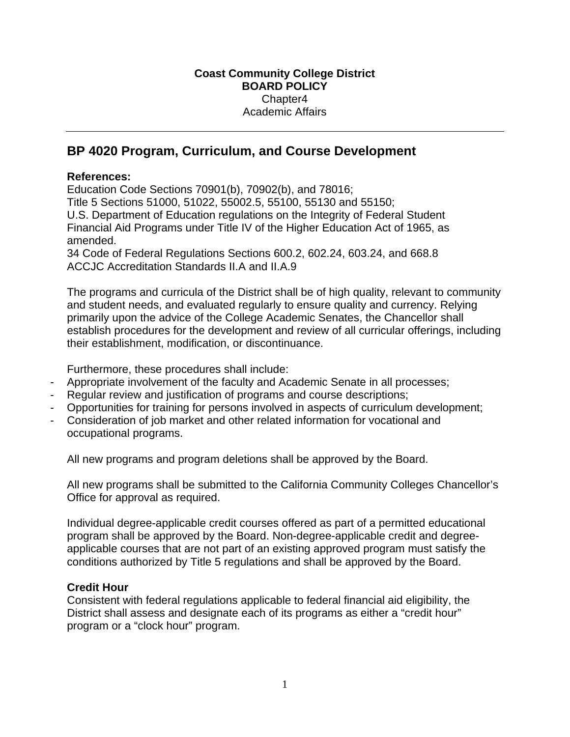## **BP 4020 Program, Curriculum, and Course Development**

## **References:**

Education Code Sections 70901(b), 70902(b), and 78016; Title 5 Sections 51000, 51022, 55002.5, 55100, 55130 and 55150; U.S. Department of Education regulations on the Integrity of Federal Student Financial Aid Programs under Title IV of the Higher Education Act of 1965, as amended.

34 Code of Federal Regulations Sections 600.2, 602.24, 603.24, and 668.8 ACCJC Accreditation Standards II.A and II.A.9

The programs and curricula of the District shall be of high quality, relevant to community and student needs, and evaluated regularly to ensure quality and currency. Relying primarily upon the advice of the College Academic Senates, the Chancellor shall establish procedures for the development and review of all curricular offerings, including their establishment, modification, or discontinuance.

Furthermore, these procedures shall include:

- Appropriate involvement of the faculty and Academic Senate in all processes;
- Regular review and justification of programs and course descriptions;
- Opportunities for training for persons involved in aspects of curriculum development;
- Consideration of job market and other related information for vocational and occupational programs.

All new programs and program deletions shall be approved by the Board.

All new programs shall be submitted to the California Community Colleges Chancellor's Office for approval as required.

Individual degree-applicable credit courses offered as part of a permitted educational program shall be approved by the Board. Non-degree-applicable credit and degreeapplicable courses that are not part of an existing approved program must satisfy the conditions authorized by Title 5 regulations and shall be approved by the Board.

## **Credit Hour**

Consistent with federal regulations applicable to federal financial aid eligibility, the District shall assess and designate each of its programs as either a "credit hour" program or a "clock hour" program.